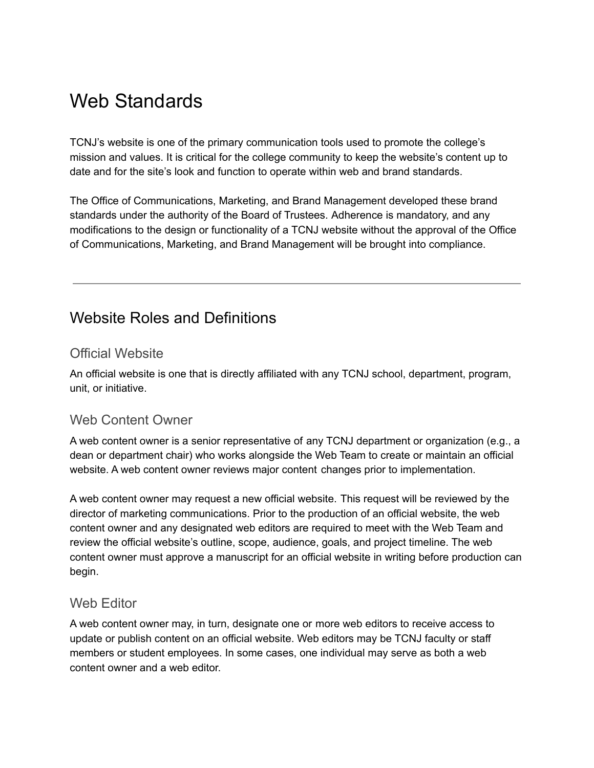# Web Standards

TCNJ's website is one of the primary communication tools used to promote the college's mission and values. It is critical for the college community to keep the website's content up to date and for the site's look and function to operate within web and brand standards.

The Office of Communications, Marketing, and Brand Management developed these brand standards under the authority of the Board of Trustees. Adherence is mandatory, and any modifications to the design or functionality of a TCNJ website without the approval of the Office of Communications, Marketing, and Brand Management will be brought into compliance.

## Website Roles and Definitions

### Official Website

An official website is one that is directly affiliated with any TCNJ school, department, program, unit, or initiative.

### Web Content Owner

A web content owner is a senior representative of any TCNJ department or organization (e.g., a dean or department chair) who works alongside the Web Team to create or maintain an official website. A web content owner reviews major content changes prior to implementation.

A web content owner may request a new official website. This request will be reviewed by the director of marketing communications. Prior to the production of an official website, the web content owner and any designated web editors are required to meet with the Web Team and review the official website's outline, scope, audience, goals, and project timeline. The web content owner must approve a manuscript for an official website in writing before production can begin.

#### Web **Fditor**

A web content owner may, in turn, designate one or more web editors to receive access to update or publish content on an official website. Web editors may be TCNJ faculty or staff members or student employees. In some cases, one individual may serve as both a web content owner and a web editor.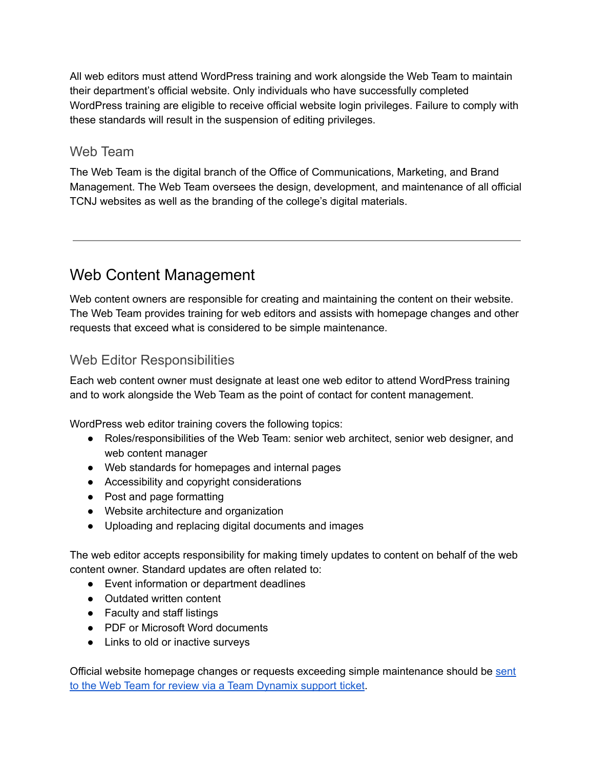All web editors must attend WordPress training and work alongside the Web Team to maintain their department's official website. Only individuals who have successfully completed WordPress training are eligible to receive official website login privileges. Failure to comply with these standards will result in the suspension of editing privileges.

### Web Team

The Web Team is the digital branch of the Office of Communications, Marketing, and Brand Management. The Web Team oversees the design, development, and maintenance of all official TCNJ websites as well as the branding of the college's digital materials.

## Web Content Management

Web content owners are responsible for creating and maintaining the content on their website. The Web Team provides training for web editors and assists with homepage changes and other requests that exceed what is considered to be simple maintenance.

## Web Editor Responsibilities

Each web content owner must designate at least one web editor to attend WordPress training and to work alongside the Web Team as the point of contact for content management.

WordPress web editor training covers the following topics:

- Roles/responsibilities of the Web Team: senior web architect, senior web designer, and web content manager
- Web standards for homepages and internal pages
- Accessibility and copyright considerations
- Post and page formatting
- Website architecture and organization
- Uploading and replacing digital documents and images

The web editor accepts responsibility for making timely updates to content on behalf of the web content owner. Standard updates are often related to:

- Event information or department deadlines
- Outdated written content
- Faculty and staff listings
- PDF or Microsoft Word documents
- Links to old or inactive surveys

Official website homepage changes or requests exceeding simple maintenance should be [sent](https://tcnj.teamdynamix.com/TDClient/1798/Portal/Requests/ServiceCatalog?CategoryID=15342) to the Web Team for review via a Team [Dynamix](https://tcnj.teamdynamix.com/TDClient/1798/Portal/Requests/ServiceCatalog?CategoryID=15342) support ticket.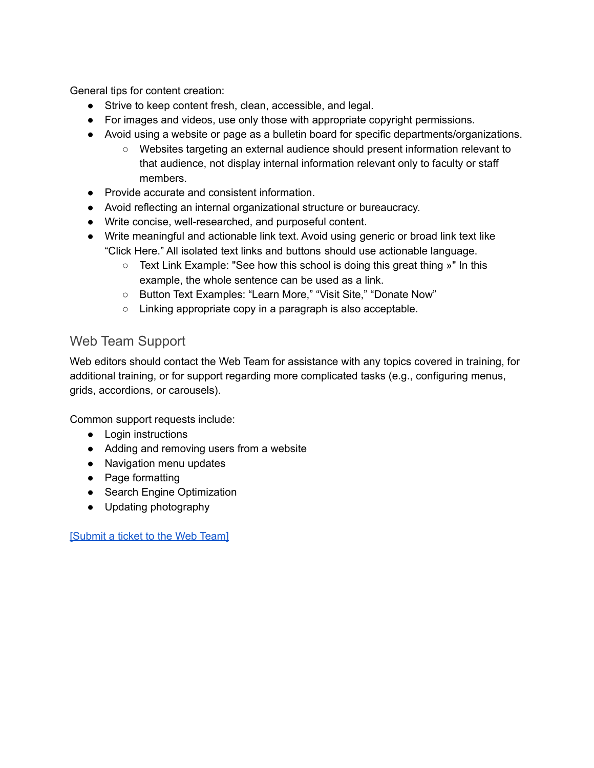General tips for content creation:

- Strive to keep content fresh, clean, accessible, and legal.
- For images and videos, use only those with appropriate copyright permissions.
- Avoid using a website or page as a bulletin board for specific departments/organizations.
	- Websites targeting an external audience should present information relevant to that audience, not display internal information relevant only to faculty or staff members.
- Provide accurate and consistent information.
- Avoid reflecting an internal organizational structure or bureaucracy.
- Write concise, well-researched, and purposeful content.
- Write meaningful and actionable link text. Avoid using generic or broad link text like "Click Here." All isolated text links and buttons should use actionable language.
	- $\circ$  Text Link Example: "See how this school is doing this great thing  $\ast$ " In this example, the whole sentence can be used as a link.
	- Button Text Examples: "Learn More," "Visit Site," "Donate Now"
	- Linking appropriate copy in a paragraph is also acceptable.

## Web Team Support

Web editors should contact the Web Team for assistance with any topics covered in training, for additional training, or for support regarding more complicated tasks (e.g., configuring menus, grids, accordions, or carousels).

Common support requests include:

- Login instructions
- Adding and removing users from a website
- Navigation menu updates
- Page formatting
- Search Engine Optimization
- Updating photography

[\[Submit](https://tcnj.teamdynamix.com/TDClient/1798/Portal/Requests/ServiceCatalog?CategoryID=15342) a ticket to the Web Team]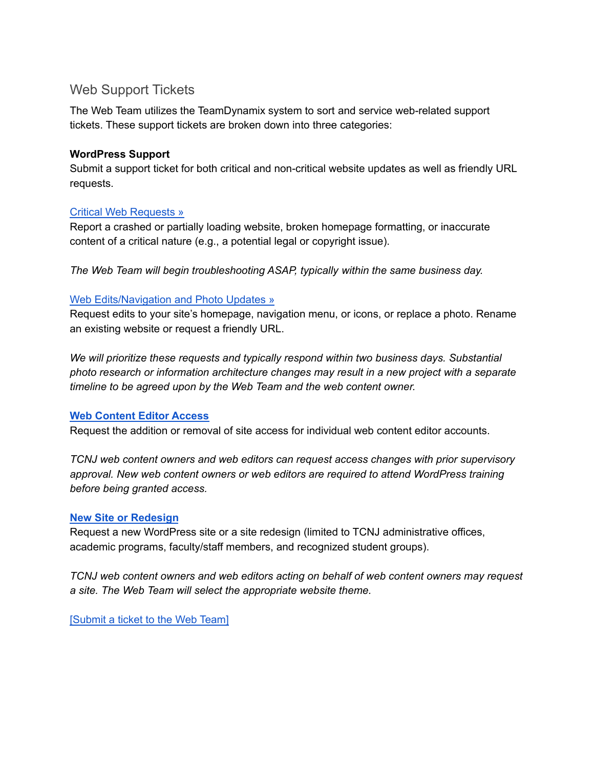### Web Support Tickets

The Web Team utilizes the TeamDynamix system to sort and service web-related support tickets. These support tickets are broken down into three categories:

#### **WordPress Support**

Submit a support ticket for both critical and non-critical website updates as well as friendly URL requests.

#### Critical Web [Requests](https://tcnj.teamdynamix.com/TDClient/1798/Portal/Requests/ServiceDet?ID=42192) »

Report a crashed or partially loading website, broken homepage formatting, or inaccurate content of a critical nature (e.g., a potential legal or copyright issue).

*The Web Team will begin troubleshooting ASAP, typically within the same business day.*

#### Web [Edits/Navigation](https://tcnj.teamdynamix.com/TDClient/1798/Portal/Requests/ServiceDet?ID=42193) and Photo Updates »

Request edits to your site's homepage, navigation menu, or icons, or replace a photo. Rename an existing website or request a friendly URL.

*We will prioritize these requests and typically respond within two business days. Substantial photo research or information architecture changes may result in a new project with a separate timeline to be agreed upon by the Web Team and the web content owner.*

#### **Web [Content](https://tcnj.teamdynamix.com/TDClient/1798/Portal/Requests/ServiceDet?ID=42194) Editor Access**

Request the addition or removal of site access for individual web content editor accounts.

*TCNJ web content owners and web editors can request access changes with prior supervisory approval. New web content owners or web editors are required to attend WordPress training before being granted access.*

#### **New Site or [Redesign](https://tcnj.teamdynamix.com/TDClient/1798/Portal/Requests/ServiceDet?ID=42196)**

Request a new WordPress site or a site redesign (limited to TCNJ administrative offices, academic programs, faculty/staff members, and recognized student groups).

*TCNJ web content owners and web editors acting on behalf of web content owners may request a site. The Web Team will select the appropriate website theme.*

[\[Submit](https://tcnj.teamdynamix.com/TDClient/1798/Portal/Requests/ServiceCatalog?CategoryID=15342) a ticket to the Web Team]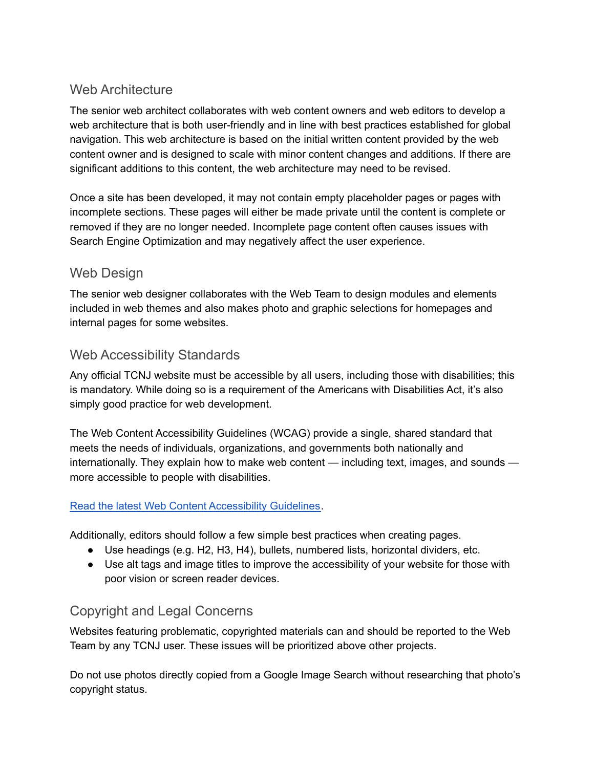## Web Architecture

The senior web architect collaborates with web content owners and web editors to develop a web architecture that is both user-friendly and in line with best practices established for global navigation. This web architecture is based on the initial written content provided by the web content owner and is designed to scale with minor content changes and additions. If there are significant additions to this content, the web architecture may need to be revised.

Once a site has been developed, it may not contain empty placeholder pages or pages with incomplete sections. These pages will either be made private until the content is complete or removed if they are no longer needed. Incomplete page content often causes issues with Search Engine Optimization and may negatively affect the user experience.

## Web Design

The senior web designer collaborates with the Web Team to design modules and elements included in web themes and also makes photo and graphic selections for homepages and internal pages for some websites.

## Web Accessibility Standards

Any official TCNJ website must be accessible by all users, including those with disabilities; this is mandatory. While doing so is a requirement of the Americans with Disabilities Act, it's also simply good practice for web development.

The Web Content Accessibility Guidelines (WCAG) provide a single, shared standard that meets the needs of individuals, organizations, and governments both nationally and internationally. They explain how to make web content — including text, images, and sounds more accessible to people with disabilities.

#### Read the latest Web Content [Accessibility](https://www.w3.org/WAI/intro/wcag) Guidelines.

Additionally, editors should follow a few simple best practices when creating pages.

- Use headings (e.g. H2, H3, H4), bullets, numbered lists, horizontal dividers, etc.
- Use alt tags and image titles to improve the accessibility of your website for those with poor vision or screen reader devices.

### Copyright and Legal Concerns

Websites featuring problematic, copyrighted materials can and should be reported to the Web Team by any TCNJ user. These issues will be prioritized above other projects.

Do not use photos directly copied from a Google Image Search without researching that photo's copyright status.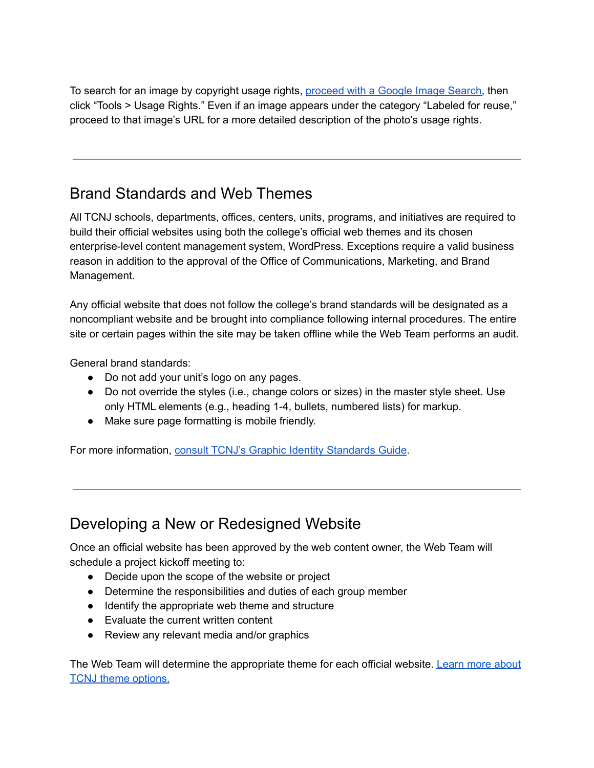To search for an image by copyright usage rights, [proceed](https://www.google.com/imghp?hl=en) with a Google Image Search, then click "Tools > Usage Rights." Even if an image appears under the category "Labeled for reuse," proceed to that image's URL for a more detailed description of the photo's usage rights.

## Brand Standards and Web Themes

All TCNJ schools, departments, offices, centers, units, programs, and initiatives are required to build their official websites using both the college's official web themes and its chosen enterprise-level content management system, WordPress. Exceptions require a valid business reason in addition to the approval of the Office of Communications, Marketing, and Brand Management.

Any official website that does not follow the college's brand standards will be designated as a noncompliant website and be brought into compliance following internal procedures. The entire site or certain pages within the site may be taken offline while the Web Team performs an audit.

General brand standards:

- Do not add your unit's logo on any pages.
- Do not override the styles (i.e., change colors or sizes) in the master style sheet. Use only HTML elements (e.g., heading 1-4, bullets, numbered lists) for markup.
- Make sure page formatting is mobile friendly.

For more information, consult TCNJ's Graphic Identity [Standards](https://brand.tcnj.edu) Guide.

## Developing a New or Redesigned Website

Once an official website has been approved by the web content owner, the Web Team will schedule a project kickoff meeting to:

- Decide upon the scope of the website or project
- Determine the responsibilities and duties of each group member
- Identify the appropriate web theme and structure
- Evaluate the current written content
- Review any relevant media and/or graphics

The Web Team will determine the appropriate theme for each official website. [Learn](#page-10-0) more about TCNJ theme [options.](#page-10-0)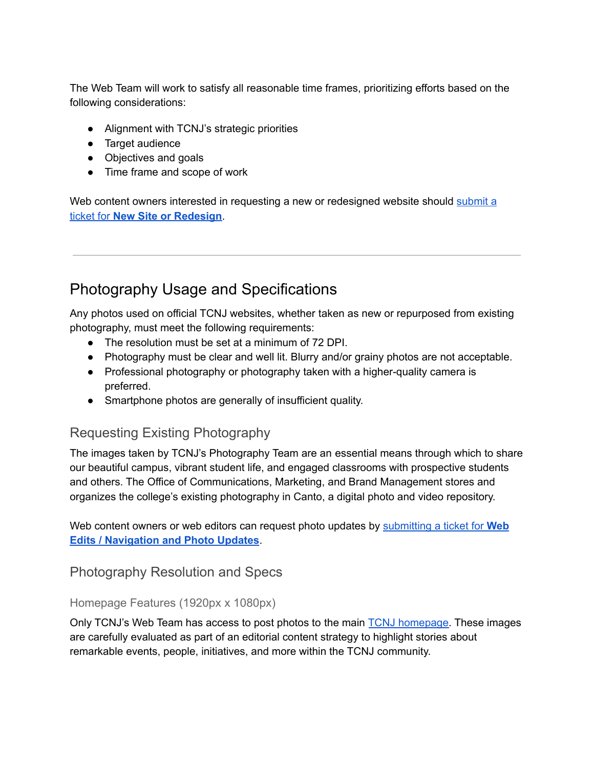The Web Team will work to satisfy all reasonable time frames, prioritizing efforts based on the following considerations:

- Alignment with TCNJ's strategic priorities
- Target audience
- Objectives and goals
- Time frame and scope of work

Web content owners interested in requesting a new or redesigned website should [submit](https://tcnj.teamdynamix.com/TDClient/1798/Portal/Requests/ServiceDet?ID=42196) a ticket for **New Site or [Redesign](https://tcnj.teamdynamix.com/TDClient/1798/Portal/Requests/ServiceDet?ID=42196)**.

## Photography Usage and Specifications

Any photos used on official TCNJ websites, whether taken as new or repurposed from existing photography, must meet the following requirements:

- The resolution must be set at a minimum of 72 DPI.
- Photography must be clear and well lit. Blurry and/or grainy photos are not acceptable.
- Professional photography or photography taken with a higher-quality camera is preferred.
- Smartphone photos are generally of insufficient quality.

## Requesting Existing Photography

The images taken by TCNJ's Photography Team are an essential means through which to share our beautiful campus, vibrant student life, and engaged classrooms with prospective students and others. The Office of Communications, Marketing, and Brand Management stores and organizes the college's existing photography in Canto, a digital photo and video repository.

Web content owners or web editors can request photo updates by [submitting](https://tcnj.teamdynamix.com/TDClient/1798/Portal/Requests/ServiceDet?ID=42193) a ticket for **Web Edits / [Navigation](https://tcnj.teamdynamix.com/TDClient/1798/Portal/Requests/ServiceDet?ID=42193) and Photo Updates**.

Photography Resolution and Specs

#### Homepage Features (1920px x 1080px)

Only TCNJ's Web Team has access to post photos to the main TCNJ [homepage.](https://tcnj.edu) These images are carefully evaluated as part of an editorial content strategy to highlight stories about remarkable events, people, initiatives, and more within the TCNJ community.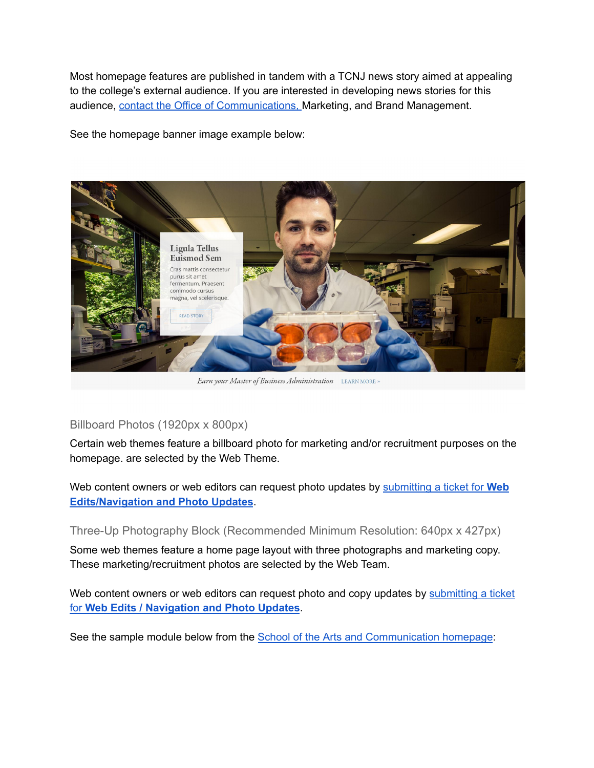Most homepage features are published in tandem with a TCNJ news story aimed at appealing to the college's external audience. If you are interested in developing news stories for this audience, contact the Office of [Communications,](https://news.tcnj.edu/contact/) Marketing, and Brand Management.

See the homepage banner image example below:



Earn your Master of Business Administration LEARNMORE »

#### Billboard Photos (1920px x 800px)

Certain web themes feature a billboard photo for marketing and/or recruitment purposes on the homepage. are selected by the Web Theme.

Web content owners or web editors can request photo updates by [submitting](https://tcnj.teamdynamix.com/TDClient/1798/Portal/Requests/ServiceDet?ID=42193) a ticket for **Web [Edits/Navigation](https://tcnj.teamdynamix.com/TDClient/1798/Portal/Requests/ServiceDet?ID=42193) and Photo Updates**.

Three-Up Photography Block (Recommended Minimum Resolution: 640px x 427px)

Some web themes feature a home page layout with three photographs and marketing copy. These marketing/recruitment photos are selected by the Web Team.

Web content owners or web editors can request photo and copy updates by [submitting](https://tcnj.teamdynamix.com/TDClient/1798/Portal/Requests/ServiceDet?ID=42193) a ticket for **Web Edits / [Navigation](https://tcnj.teamdynamix.com/TDClient/1798/Portal/Requests/ServiceDet?ID=42193) and Photo Updates**.

See the sample module below from the School of the Arts and [Communication](https://artscomm.tcnj.edu) homepage: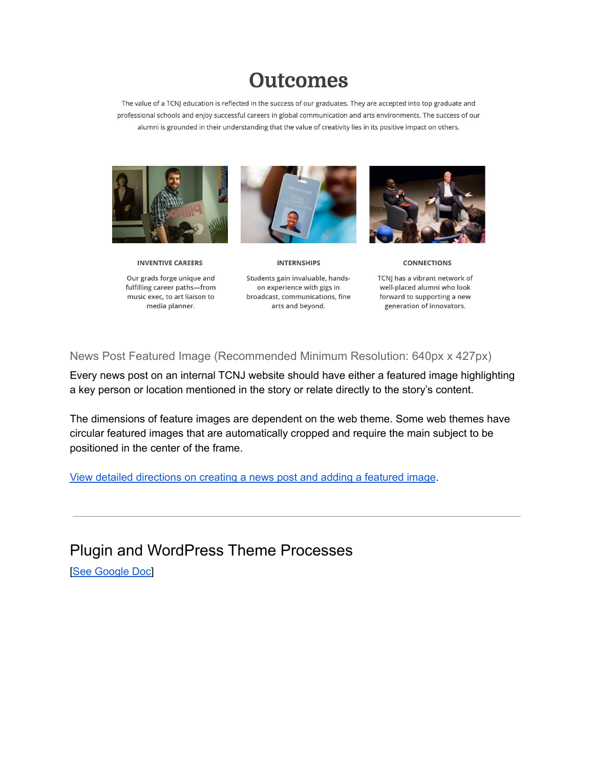# **Outcomes**

The value of a TCNJ education is reflected in the success of our graduates. They are accepted into top graduate and professional schools and enjoy successful careers in global communication and arts environments. The success of our alumni is grounded in their understanding that the value of creativity lies in its positive impact on others.



**INVENTIVE CAREERS** 

Our grads forge unique and fulfilling career paths-from music exec, to art liaison to media planner.



**INTERNSHIPS** 

Students gain invaluable, handson experience with gigs in broadcast, communications, fine arts and beyond.



CONNECTIONS

TCNJ has a vibrant network of well-placed alumni who look forward to supporting a new generation of innovators.

News Post Featured Image (Recommended Minimum Resolution: 640px x 427px)

Every news post on an internal TCNJ website should have either a featured image highlighting a key person or location mentioned in the story or relate directly to the story's content.

The dimensions of feature images are dependent on the web theme. Some web themes have circular featured images that are automatically cropped and require the main subject to be positioned in the center of the frame.

View detailed [directions](https://wordpress.tcnj.edu/2020/08/15/wordpress-training-creating-a-post/) on creating a news post and adding a featured image.

Plugin and WordPress Theme Processes

[See [Google](https://docs.google.com/document/d/1ch-Qu-uApltPGIh-lgQNTOW78K4d-41c_J97rNxFqjw/edit) Doc]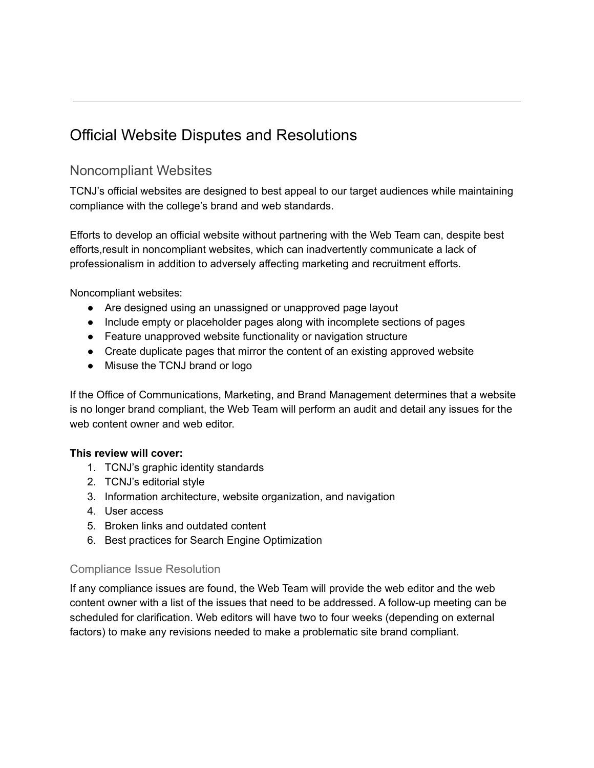## Official Website Disputes and Resolutions

## Noncompliant Websites

TCNJ's official websites are designed to best appeal to our target audiences while maintaining compliance with the college's brand and web standards.

Efforts to develop an official website without partnering with the Web Team can, despite best efforts,result in noncompliant websites, which can inadvertently communicate a lack of professionalism in addition to adversely affecting marketing and recruitment efforts.

Noncompliant websites:

- Are designed using an unassigned or unapproved page layout
- Include empty or placeholder pages along with incomplete sections of pages
- Feature unapproved website functionality or navigation structure
- Create duplicate pages that mirror the content of an existing approved website
- Misuse the TCNJ brand or logo

If the Office of Communications, Marketing, and Brand Management determines that a website is no longer brand compliant, the Web Team will perform an audit and detail any issues for the web content owner and web editor.

#### **This review will cover:**

- 1. TCNJ's graphic identity standards
- 2. TCNJ's editorial style
- 3. Information architecture, website organization, and navigation
- 4. User access
- 5. Broken links and outdated content
- 6. Best practices for Search Engine Optimization

#### Compliance Issue Resolution

If any compliance issues are found, the Web Team will provide the web editor and the web content owner with a list of the issues that need to be addressed. A follow-up meeting can be scheduled for clarification. Web editors will have two to four weeks (depending on external factors) to make any revisions needed to make a problematic site brand compliant.